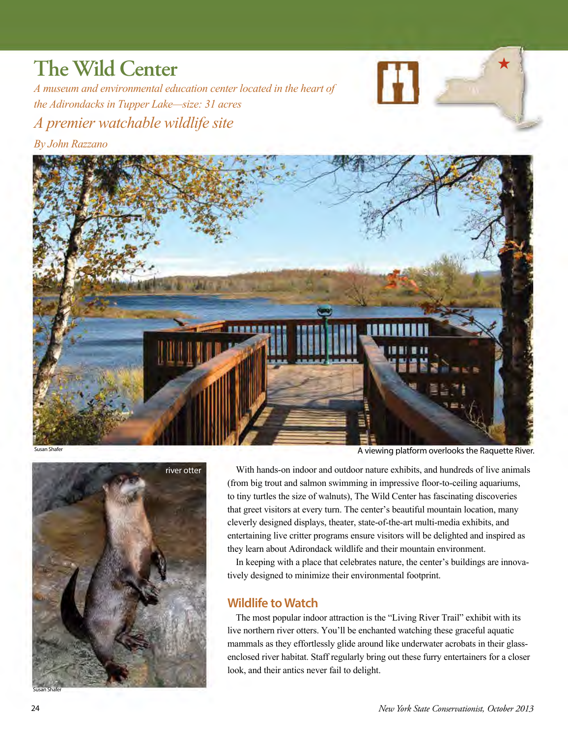## **The Wild Center**

*A museum and environmental education center located in the heart of the Adirondacks in Tupper Lake—size: 31 acres A premier watchable wildlife site* 

*By John Razzano* 







A viewing platform overlooks the Raquette River.

With hands-on indoor and outdoor nature exhibits, and hundreds of live animals (from big trout and salmon swimming in impressive floor-to-ceiling aquariums, to tiny turtles the size of walnuts), The Wild Center has fascinating discoveries that greet visitors at every turn. The center's beautiful mountain location, many cleverly designed displays, theater, state-of-the-art multi-media exhibits, and entertaining live critter programs ensure visitors will be delighted and inspired as they learn about Adirondack wildlife and their mountain environment.

In keeping with a place that celebrates nature, the center's buildings are innovatively designed to minimize their environmental footprint.

## **Wildlife to Watch**

The most popular indoor attraction is the "Living River Trail" exhibit with its live northern river otters. You'll be enchanted watching these graceful aquatic mammals as they effortlessly glide around like underwater acrobats in their glassenclosed river habitat. Staff regularly bring out these furry entertainers for a closer look, and their antics never fail to delight.